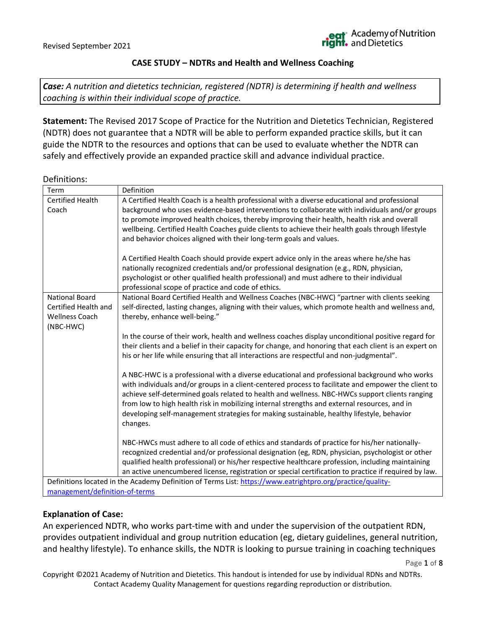#### **CASE STUDY – NDTRs and Health and Wellness Coaching**

*Case: A nutrition and dietetics technician, registered (NDTR) is determining if health and wellness coaching is within their individual scope of practice.* 

**Statement:** The Revised 2017 Scope of Practice for the Nutrition and Dietetics Technician, Registered (NDTR) does not guarantee that a NDTR will be able to perform expanded practice skills, but it can guide the NDTR to the resources and options that can be used to evaluate whether the NDTR can safely and effectively provide an expanded practice skill and advance individual practice.

#### Definitions:

| Term                                                                                                       | Definition                                                                                             |  |
|------------------------------------------------------------------------------------------------------------|--------------------------------------------------------------------------------------------------------|--|
| Certified Health                                                                                           | A Certified Health Coach is a health professional with a diverse educational and professional          |  |
| Coach                                                                                                      | background who uses evidence-based interventions to collaborate with individuals and/or groups         |  |
|                                                                                                            | to promote improved health choices, thereby improving their health, health risk and overall            |  |
|                                                                                                            | wellbeing. Certified Health Coaches guide clients to achieve their health goals through lifestyle      |  |
|                                                                                                            | and behavior choices aligned with their long-term goals and values.                                    |  |
|                                                                                                            |                                                                                                        |  |
|                                                                                                            | A Certified Health Coach should provide expert advice only in the areas where he/she has               |  |
|                                                                                                            | nationally recognized credentials and/or professional designation (e.g., RDN, physician,               |  |
|                                                                                                            | psychologist or other qualified health professional) and must adhere to their individual               |  |
|                                                                                                            | professional scope of practice and code of ethics.                                                     |  |
| <b>National Board</b>                                                                                      | National Board Certified Health and Wellness Coaches (NBC-HWC) "partner with clients seeking           |  |
| Certified Health and                                                                                       | self-directed, lasting changes, aligning with their values, which promote health and wellness and,     |  |
| <b>Wellness Coach</b>                                                                                      | thereby, enhance well-being."                                                                          |  |
| (NBC-HWC)                                                                                                  |                                                                                                        |  |
|                                                                                                            | In the course of their work, health and wellness coaches display unconditional positive regard for     |  |
|                                                                                                            | their clients and a belief in their capacity for change, and honoring that each client is an expert on |  |
|                                                                                                            | his or her life while ensuring that all interactions are respectful and non-judgmental".               |  |
|                                                                                                            | A NBC-HWC is a professional with a diverse educational and professional background who works           |  |
|                                                                                                            | with individuals and/or groups in a client-centered process to facilitate and empower the client to    |  |
|                                                                                                            | achieve self-determined goals related to health and wellness. NBC-HWCs support clients ranging         |  |
|                                                                                                            | from low to high health risk in mobilizing internal strengths and external resources, and in           |  |
|                                                                                                            | developing self-management strategies for making sustainable, healthy lifestyle, behavior              |  |
|                                                                                                            | changes.                                                                                               |  |
|                                                                                                            |                                                                                                        |  |
|                                                                                                            | NBC-HWCs must adhere to all code of ethics and standards of practice for his/her nationally-           |  |
|                                                                                                            | recognized credential and/or professional designation (eg, RDN, physician, psychologist or other       |  |
|                                                                                                            | qualified health professional) or his/her respective healthcare profession, including maintaining      |  |
|                                                                                                            | an active unencumbered license, registration or special certification to practice if required by law.  |  |
| Definitions located in the Academy Definition of Terms List: https://www.eatrightpro.org/practice/quality- |                                                                                                        |  |
| management/definition-of-terms                                                                             |                                                                                                        |  |

### **Explanation of Case:**

An experienced NDTR, who works part-time with and under the supervision of the outpatient RDN, provides outpatient individual and group nutrition education (eg, dietary guidelines, general nutrition, and healthy lifestyle). To enhance skills, the NDTR is looking to pursue training in coaching techniques

Page **1** of **8**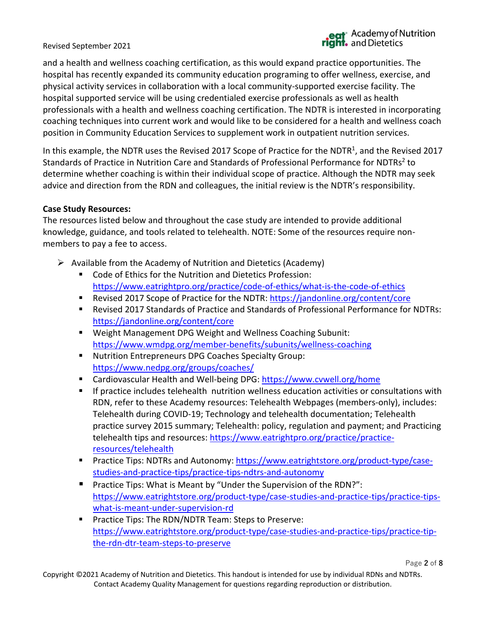and a health and wellness coaching certification, as this would expand practice opportunities. The hospital has recently expanded its community education programing to offer wellness, exercise, and physical activity services in collaboration with a local community-supported exercise facility. The hospital supported service will be using credentialed exercise professionals as well as health professionals with a health and wellness coaching certification. The NDTR is interested in incorporating coaching techniques into current work and would like to be considered for a health and wellness coach position in Community Education Services to supplement work in outpatient nutrition services.

In this example, the NDTR uses the Revised 2017 Scope of Practice for the NDTR<sup>1</sup>, and the Revised 2017 Standards of Practice in Nutrition Care and Standards of Professional Performance for NDTRs<sup>2</sup> to determine whether coaching is within their individual scope of practice. Although the NDTR may seek advice and direction from the RDN and colleagues, the initial review is the NDTR's responsibility.

### **Case Study Resources:**

The resources listed below and throughout the case study are intended to provide additional knowledge, guidance, and tools related to telehealth. NOTE: Some of the resources require nonmembers to pay a fee to access.

- $\triangleright$  Available from the Academy of Nutrition and Dietetics (Academy)
	- Code of Ethics for the Nutrition and Dietetics Profession: <https://www.eatrightpro.org/practice/code-of-ethics/what-is-the-code-of-ethics>
	- Revised 2017 Scope of Practice for the NDTR:<https://jandonline.org/content/core>
	- Revised 2017 Standards of Practice and Standards of Professional Performance for NDTRs: <https://jandonline.org/content/core>
	- Weight Management DPG Weight and Wellness Coaching Subunit: <https://www.wmdpg.org/member-benefits/subunits/wellness-coaching>
	- Nutrition Entrepreneurs DPG Coaches Specialty Group: <https://www.nedpg.org/groups/coaches/>
	- Cardiovascular Health and Well-being DPG:<https://www.cvwell.org/home>
	- **■** If practice includes telehealth nutrition wellness education activities or consultations with RDN, refer to these Academy resources: Telehealth Webpages (members-only), includes: Telehealth during COVID-19; Technology and telehealth documentation; Telehealth practice survey 2015 summary; Telehealth: policy, regulation and payment; and Practicing telehealth tips and resources: [https://www.eatrightpro.org/practice/practice](https://www.eatrightpro.org/practice/practice-resources/telehealth)[resources/telehealth](https://www.eatrightpro.org/practice/practice-resources/telehealth)
	- Practice Tips: NDTRs and Autonomy: [https://www.eatrightstore.org/product-type/case](https://www.eatrightstore.org/product-type/case-studies-and-practice-tips/practice-tips-ndtrs-and-autonomy)[studies-and-practice-tips/practice-tips-ndtrs-and-autonomy](https://www.eatrightstore.org/product-type/case-studies-and-practice-tips/practice-tips-ndtrs-and-autonomy)
	- Practice Tips: What is Meant by "Under the Supervision of the RDN?": [https://www.eatrightstore.org/product-type/case-studies-and-practice-tips/practice-tips](https://www.eatrightstore.org/product-type/case-studies-and-practice-tips/practice-tips-what-is-meant-under-supervision-rd)[what-is-meant-under-supervision-rd](https://www.eatrightstore.org/product-type/case-studies-and-practice-tips/practice-tips-what-is-meant-under-supervision-rd)
	- Practice Tips: The RDN/NDTR Team: Steps to Preserve: [https://www.eatrightstore.org/product-type/case-studies-and-practice-tips/practice-tip](https://www.eatrightstore.org/product-type/case-studies-and-practice-tips/practice-tip-the-rdn-dtr-team-steps-to-preserve)[the-rdn-dtr-team-steps-to-preserve](https://www.eatrightstore.org/product-type/case-studies-and-practice-tips/practice-tip-the-rdn-dtr-team-steps-to-preserve)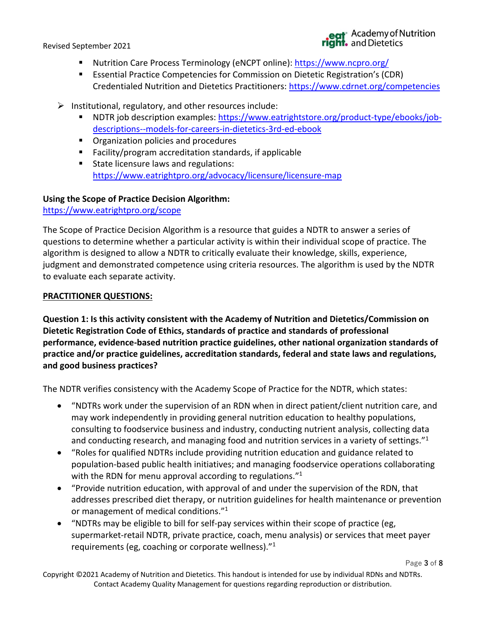- eat<sup>.</sup> Academy of Nutrition<br>ght. and Dietetics
- Nutrition Care Process Terminology (eNCPT online):<https://www.ncpro.org/>
- Essential Practice Competencies for Commission on Dietetic Registration's (CDR) Credentialed Nutrition and Dietetics Practitioners:<https://www.cdrnet.org/competencies>
- $\triangleright$  Institutional, regulatory, and other resources include:
	- NDTR job description examples: [https://www.eatrightstore.org/product-type/ebooks/job](https://www.eatrightstore.org/product-type/ebooks/job-descriptions--models-for-careers-in-dietetics-3rd-ed-ebook)[descriptions--models-for-careers-in-dietetics-3rd-ed-ebook](https://www.eatrightstore.org/product-type/ebooks/job-descriptions--models-for-careers-in-dietetics-3rd-ed-ebook)
	- Organization policies and procedures
	- Facility/program accreditation standards, if applicable
	- State licensure laws and regulations: <https://www.eatrightpro.org/advocacy/licensure/licensure-map>

## **Using the Scope of Practice Decision Algorithm:**

<https://www.eatrightpro.org/scope>

The Scope of Practice Decision Algorithm is a resource that guides a NDTR to answer a series of questions to determine whether a particular activity is within their individual scope of practice. The algorithm is designed to allow a NDTR to critically evaluate their knowledge, skills, experience, judgment and demonstrated competence using criteria resources. The algorithm is used by the NDTR to evaluate each separate activity.

### **PRACTITIONER QUESTIONS:**

**Question 1: Is this activity consistent with the Academy of Nutrition and Dietetics/Commission on Dietetic Registration Code of Ethics, standards of practice and standards of professional performance, evidence-based nutrition practice guidelines, other national organization standards of practice and/or practice guidelines, accreditation standards, federal and state laws and regulations, and good business practices?**

The NDTR verifies consistency with the Academy Scope of Practice for the NDTR, which states:

- "NDTRs work under the supervision of an RDN when in direct patient/client nutrition care, and may work independently in providing general nutrition education to healthy populations, consulting to foodservice business and industry, conducting nutrient analysis, collecting data and conducting research, and managing food and nutrition services in a variety of settings."<sup>1</sup>
- "Roles for qualified NDTRs include providing nutrition education and guidance related to population-based public health initiatives; and managing foodservice operations collaborating with the RDN for menu approval according to regulations."<sup>1</sup>
- "Provide nutrition education, with approval of and under the supervision of the RDN, that addresses prescribed diet therapy, or nutrition guidelines for health maintenance or prevention or management of medical conditions."<sup>1</sup>
- "NDTRs may be eligible to bill for self-pay services within their scope of practice (eg, supermarket-retail NDTR, private practice, coach, menu analysis) or services that meet payer requirements (eg, coaching or corporate wellness)."1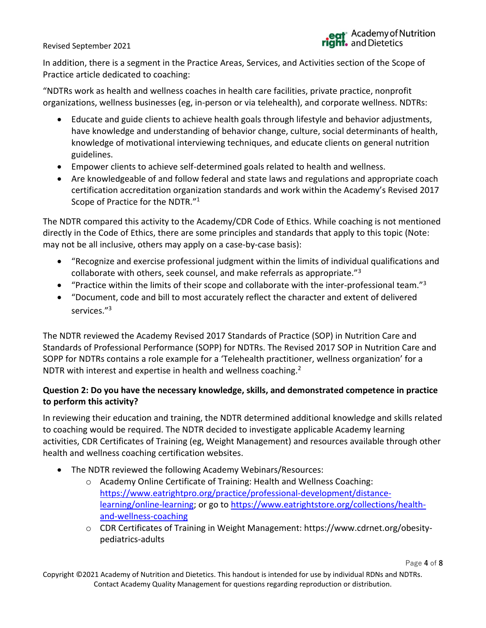In addition, there is a segment in the Practice Areas, Services, and Activities section of the Scope of Practice article dedicated to coaching:

"NDTRs work as health and wellness coaches in health care facilities, private practice, nonprofit organizations, wellness businesses (eg, in-person or via telehealth), and corporate wellness. NDTRs:

- Educate and guide clients to achieve health goals through lifestyle and behavior adjustments, have knowledge and understanding of behavior change, culture, social determinants of health, knowledge of motivational interviewing techniques, and educate clients on general nutrition guidelines.
- Empower clients to achieve self-determined goals related to health and wellness.
- Are knowledgeable of and follow federal and state laws and regulations and appropriate coach certification accreditation organization standards and work within the Academy's Revised 2017 Scope of Practice for the NDTR."<sup>1</sup>

The NDTR compared this activity to the Academy/CDR Code of Ethics. While coaching is not mentioned directly in the Code of Ethics, there are some principles and standards that apply to this topic (Note: may not be all inclusive, others may apply on a case-by-case basis):

- "Recognize and exercise professional judgment within the limits of individual qualifications and collaborate with others, seek counsel, and make referrals as appropriate."<sup>3</sup>
- "Practice within the limits of their scope and collaborate with the inter-professional team."<sup>3</sup>
- "Document, code and bill to most accurately reflect the character and extent of delivered services."<sup>3</sup>

The NDTR reviewed the Academy Revised 2017 Standards of Practice (SOP) in Nutrition Care and Standards of Professional Performance (SOPP) for NDTRs. The Revised 2017 SOP in Nutrition Care and SOPP for NDTRs contains a role example for a 'Telehealth practitioner, wellness organization' for a NDTR with interest and expertise in health and wellness coaching.<sup>2</sup>

## **Question 2: Do you have the necessary knowledge, skills, and demonstrated competence in practice to perform this activity?**

In reviewing their education and training, the NDTR determined additional knowledge and skills related to coaching would be required. The NDTR decided to investigate applicable Academy learning activities, CDR Certificates of Training (eg, Weight Management) and resources available through other health and wellness coaching certification websites.

- The NDTR reviewed the following Academy Webinars/Resources:
	- o Academy Online Certificate of Training: Health and Wellness Coaching: [https://www.eatrightpro.org/practice/professional-development/distance](https://www.eatrightpro.org/practice/professional-development/distance-learning/online-learning)[learning/online-learning;](https://www.eatrightpro.org/practice/professional-development/distance-learning/online-learning) or go to https://www.eatrightstore.org/collections/healthand-wellness-coaching
	- o CDR Certificates of Training in Weight Management: https://www.cdrnet.org/obesitypediatrics-adults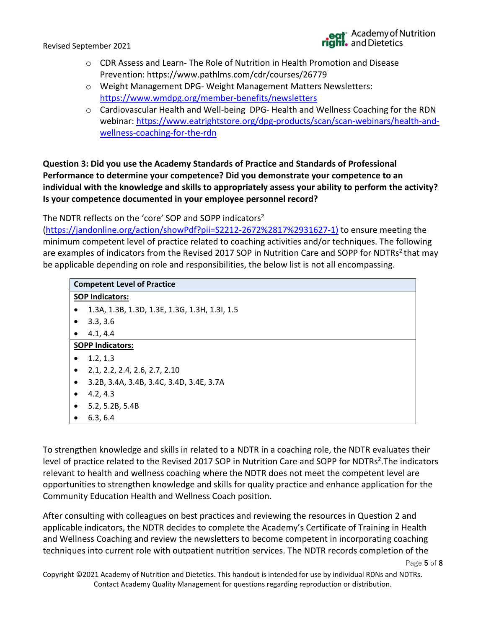- o CDR Assess and Learn- The Role of Nutrition in Health Promotion and Disease Prevention: https://www.pathlms.com/cdr/courses/26779
- o Weight Management DPG- Weight Management Matters Newsletters: <https://www.wmdpg.org/member-benefits/newsletters>
- o Cardiovascular Health and Well-being DPG- Health and Wellness Coaching for the RDN webinar: [https://www.eatrightstore.org/dpg-products/scan/scan-webinars/health-and](https://www.eatrightstore.org/dpg-products/scan/scan-webinars/health-and-wellness-coaching-for-the-rdn)[wellness-coaching-for-the-rdn](https://www.eatrightstore.org/dpg-products/scan/scan-webinars/health-and-wellness-coaching-for-the-rdn)

**Question 3: Did you use the Academy Standards of Practice and Standards of Professional Performance to determine your competence? Did you demonstrate your competence to an individual with the knowledge and skills to appropriately assess your ability to perform the activity? Is your competence documented in your employee personnel record?**

The NDTR reflects on the 'core' SOP and SOPP indicators<sup>2</sup>

[\(https://jandonline.org/action/showPdf?pii=S2212-2672%2817%2931627-1\)](https://jandonline.org/action/showPdf?pii=S2212-2672%2817%2931627-1) to ensure meeting the minimum competent level of practice related to coaching activities and/or techniques. The following are examples of indicators from the Revised 2017 SOP in Nutrition Care and SOPP for NDTRs<sup>2</sup> that may be applicable depending on role and responsibilities, the below list is not all encompassing.

| <b>Competent Level of Practice</b>                         |  |  |
|------------------------------------------------------------|--|--|
| <b>SOP Indicators:</b>                                     |  |  |
| 1.3A, 1.3B, 1.3D, 1.3E, 1.3G, 1.3H, 1.3I, 1.5<br>$\bullet$ |  |  |
| 3.3, 3.6<br>$\bullet$                                      |  |  |
| 4.1, 4.4<br>$\bullet$                                      |  |  |
| <b>SOPP Indicators:</b>                                    |  |  |
| 1.2, 1.3<br>$\bullet$                                      |  |  |
| 2.1, 2.2, 2.4, 2.6, 2.7, 2.10<br>$\bullet$                 |  |  |
| 3.2B, 3.4A, 3.4B, 3.4C, 3.4D, 3.4E, 3.7A<br>$\bullet$      |  |  |
| 4.2, 4.3<br>$\bullet$                                      |  |  |
| 5.2, 5.2B, 5.4B<br>$\bullet$                               |  |  |
| 6.3, 6.4                                                   |  |  |

To strengthen knowledge and skills in related to a NDTR in a coaching role, the NDTR evaluates their level of practice related to the Revised 2017 SOP in Nutrition Care and SOPP for NDTRs<sup>2</sup>. The indicators relevant to health and wellness coaching where the NDTR does not meet the competent level are opportunities to strengthen knowledge and skills for quality practice and enhance application for the Community Education Health and Wellness Coach position.

After consulting with colleagues on best practices and reviewing the resources in Question 2 and applicable indicators, the NDTR decides to complete the Academy's Certificate of Training in Health and Wellness Coaching and review the newsletters to become competent in incorporating coaching techniques into current role with outpatient nutrition services. The NDTR records completion of the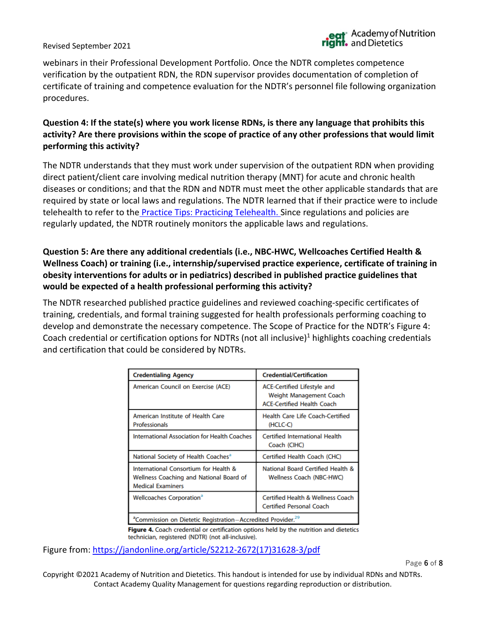webinars in their Professional Development Portfolio. Once the NDTR completes competence verification by the outpatient RDN, the RDN supervisor provides documentation of completion of certificate of training and competence evaluation for the NDTR's personnel file following organization procedures.

## **Question 4: If the state(s) where you work license RDNs, is there any language that prohibits this activity? Are there provisions within the scope of practice of any other professions that would limit performing this activity?**

The NDTR understands that they must work under supervision of the outpatient RDN when providing direct patient/client care involving medical nutrition therapy (MNT) for acute and chronic health diseases or conditions; and that the RDN and NDTR must meet the other applicable standards that are required by state or local laws and regulations. The NDTR learned that if their practice were to include telehealth to refer to the [Practice Tips: Practicing Telehealth.](https://www.eatrightpro.org/practice/quality-management/competence-case-studies-practice-tips) Since regulations and policies are regularly updated, the NDTR routinely monitors the applicable laws and regulations.

# **Question 5: Are there any additional credentials (i.e., NBC-HWC, Wellcoaches Certified Health & Wellness Coach) or training (i.e., internship/supervised practice experience, certificate of training in obesity interventions for adults or in pediatrics) described in published practice guidelines that would be expected of a health professional performing this activity?**

The NDTR researched published practice guidelines and reviewed coaching-specific certificates of training, credentials, and formal training suggested for health professionals performing coaching to develop and demonstrate the necessary competence. The Scope of Practice for the NDTR's Figure 4: Coach credential or certification options for NDTRs (not all inclusive)<sup>1</sup> highlights coaching credentials and certification that could be considered by NDTRs.

| <b>Credentialing Agency</b>                                                                                  | <b>Credential/Certification</b>                                                             |  |
|--------------------------------------------------------------------------------------------------------------|---------------------------------------------------------------------------------------------|--|
| American Council on Exercise (ACE)                                                                           | ACE-Certified Lifestyle and<br>Weight Management Coach<br><b>ACE-Certified Health Coach</b> |  |
| American Institute of Health Care<br><b>Professionals</b>                                                    | <b>Health Care Life Coach-Certified</b><br>(HCLC-C)                                         |  |
| <b>International Association for Health Coaches</b>                                                          | Certified International Health<br>Coach (CIHC)                                              |  |
| National Society of Health Coaches <sup>a</sup>                                                              | Certified Health Coach (CHC)                                                                |  |
| International Consortium for Health &<br>Wellness Coaching and National Board of<br><b>Medical Examiners</b> | National Board Certified Health &<br>Wellness Coach (NBC-HWC)                               |  |
| <b>Wellcoaches Corporation</b> <sup>a</sup>                                                                  | <b>Certified Health &amp; Wellness Coach</b><br><b>Certified Personal Coach</b>             |  |
| <sup>a</sup> Commission on Dietetic Registration-Accredited Provider. <sup>29</sup>                          |                                                                                             |  |

Figure 4. Coach credential or certification options held by the nutrition and dietetics technician, registered (NDTR) (not all-inclusive).

Figure from: [https://jandonline.org/article/S2212-2672\(17\)31628-3/pdf](https://jandonline.org/article/S2212-2672(17)31628-3/pdf)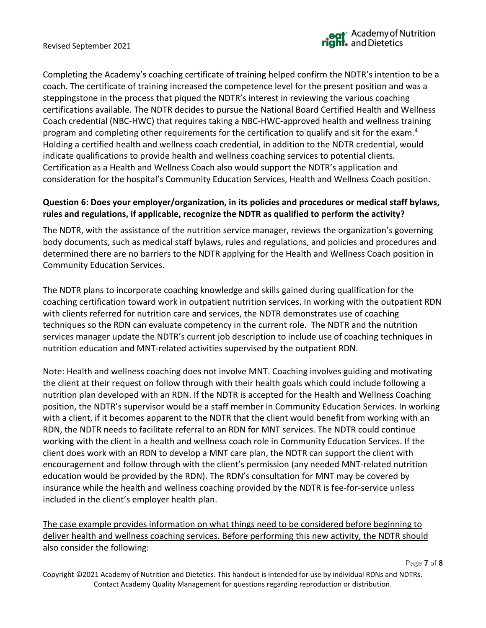Page **7** of **8**

Completing the Academy's coaching certificate of training helped confirm the NDTR's intention to be a coach. The certificate of training increased the competence level for the present position and was a steppingstone in the process that piqued the NDTR's interest in reviewing the various coaching certifications available. The NDTR decides to pursue the National Board Certified Health and Wellness Coach credential (NBC-HWC) that requires taking a NBC-HWC-approved health and wellness training program and completing other requirements for the certification to qualify and sit for the exam.<sup>4</sup> Holding a certified health and wellness coach credential, in addition to the NDTR credential, would indicate qualifications to provide health and wellness coaching services to potential clients. Certification as a Health and Wellness Coach also would support the NDTR's application and consideration for the hospital's Community Education Services, Health and Wellness Coach position.

### **Question 6: Does your employer/organization, in its policies and procedures or medical staff bylaws, rules and regulations, if applicable, recognize the NDTR as qualified to perform the activity?**

The NDTR, with the assistance of the nutrition service manager, reviews the organization's governing body documents, such as medical staff bylaws, rules and regulations, and policies and procedures and determined there are no barriers to the NDTR applying for the Health and Wellness Coach position in Community Education Services.

The NDTR plans to incorporate coaching knowledge and skills gained during qualification for the coaching certification toward work in outpatient nutrition services. In working with the outpatient RDN with clients referred for nutrition care and services, the NDTR demonstrates use of coaching techniques so the RDN can evaluate competency in the current role. The NDTR and the nutrition services manager update the NDTR's current job description to include use of coaching techniques in nutrition education and MNT-related activities supervised by the outpatient RDN.

Note: Health and wellness coaching does not involve MNT. Coaching involves guiding and motivating the client at their request on follow through with their health goals which could include following a nutrition plan developed with an RDN. If the NDTR is accepted for the Health and Wellness Coaching position, the NDTR's supervisor would be a staff member in Community Education Services. In working with a client, if it becomes apparent to the NDTR that the client would benefit from working with an RDN, the NDTR needs to facilitate referral to an RDN for MNT services. The NDTR could continue working with the client in a health and wellness coach role in Community Education Services. If the client does work with an RDN to develop a MNT care plan, the NDTR can support the client with encouragement and follow through with the client's permission (any needed MNT-related nutrition education would be provided by the RDN). The RDN's consultation for MNT may be covered by insurance while the health and wellness coaching provided by the NDTR is fee-for-service unless included in the client's employer health plan.

The case example provides information on what things need to be considered before beginning to deliver health and wellness coaching services. Before performing this new activity, the NDTR should also consider the following: